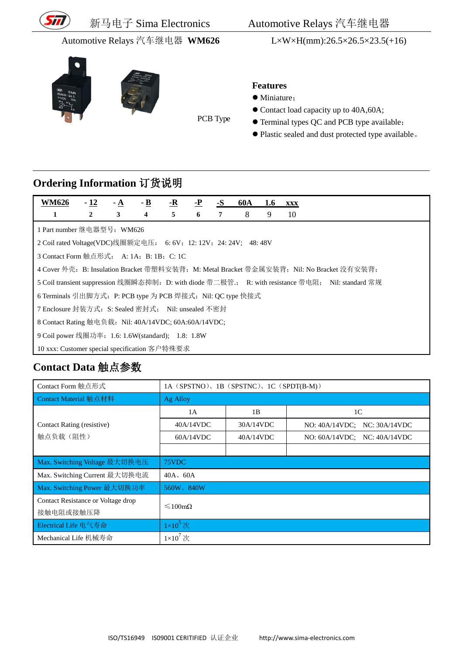

PCB Type





#### **Features**

- $\bullet$  Miniature;
- Contact load capacity up to 40A,60A;
- Terminal types QC and PCB type available;
- Plastic sealed and dust protected type available。

## **Ordering Information** 订货说明

| <b>WM626</b>                                                  | $-12$                                                                                     | $-A$ | $-$ <b>B</b> | <u>-R</u> | <u>-P</u> | $-S$ | 60A | 1.6 | <b>XXX</b>                                                                                         |
|---------------------------------------------------------------|-------------------------------------------------------------------------------------------|------|--------------|-----------|-----------|------|-----|-----|----------------------------------------------------------------------------------------------------|
| 1                                                             | 2                                                                                         | 3    | 4            | 5         | 6         | 7    | 8   | 9   | 10                                                                                                 |
| 1 Part number 继电器型号: WM626                                    |                                                                                           |      |              |           |           |      |     |     |                                                                                                    |
| 2 Coil rated Voltage(VDC)线圈额定电压: 6:6V; 12:12V; 24:24V; 48:48V |                                                                                           |      |              |           |           |      |     |     |                                                                                                    |
| 3 Contact Form 触点形式: A: 1A; B: 1B; C: 1C                      |                                                                                           |      |              |           |           |      |     |     |                                                                                                    |
|                                                               | 4 Cover 外壳: B: Insulation Bracket 带塑料安装背; M: Metal Bracket 带金属安装背; Nil: No Bracket 没有安装背; |      |              |           |           |      |     |     |                                                                                                    |
|                                                               |                                                                                           |      |              |           |           |      |     |     | 5 Coil transient suppression 线圈瞬态抑制: D: with diode 带二极管:; R: with resistance 带电阻; Nil: standard 常规 |
| 6 Terminals 引出脚方式: P: PCB type 为 PCB 焊接式; Nil: QC type 快接式    |                                                                                           |      |              |           |           |      |     |     |                                                                                                    |
| 7 Enclosure 封装方式: S: Sealed 密封式: Nil: unsealed 不密封            |                                                                                           |      |              |           |           |      |     |     |                                                                                                    |
| 8 Contact Rating 触电负载: Nil: 40A/14VDC; 60A:60A/14VDC;         |                                                                                           |      |              |           |           |      |     |     |                                                                                                    |
| 9 Coil power 线圈功率: 1.6: 1.6W(standard); 1.8: 1.8W             |                                                                                           |      |              |           |           |      |     |     |                                                                                                    |
|                                                               | 10 xxx: Customer special specification 客户特殊要求                                             |      |              |           |           |      |     |     |                                                                                                    |

# **Contact Data** 触点参数

| Contact Form 触点形式                               | 1A (SPSTNO), 1B (SPSTNC), 1C (SPDT(B-M)) |           |                                   |  |  |  |  |
|-------------------------------------------------|------------------------------------------|-----------|-----------------------------------|--|--|--|--|
| Contact Material 触点材料                           | Ag Alloy                                 |           |                                   |  |  |  |  |
|                                                 | 1A                                       | 1B        | 1 <sup>C</sup>                    |  |  |  |  |
| Contact Rating (resistive)                      | 40A/14VDC                                | 30A/14VDC | NO: 40A/14VDC; NC: 30A/14VDC      |  |  |  |  |
| 触点负载(阻性)                                        | 60A/14VDC                                | 40A/14VDC | NO: $60A/14VDC$ ; NC: $40A/14VDC$ |  |  |  |  |
|                                                 |                                          |           |                                   |  |  |  |  |
| Max. Switching Voltage 最大切换电压                   | 75VDC                                    |           |                                   |  |  |  |  |
| Max. Switching Current 最大切换电流                   | $40A$ , $60A$                            |           |                                   |  |  |  |  |
| Max. Switching Power 最大切换功率                     | 560W, 840W                               |           |                                   |  |  |  |  |
| Contact Resistance or Voltage drop<br>接触电阻或接触压降 | $\leq 100 \text{m}\Omega$                |           |                                   |  |  |  |  |
| Electrical Life 电气寿命                            | $1\times10^5$ 次                          |           |                                   |  |  |  |  |
| Mechanical Life 机械寿命                            | $1\times10^7$ 次                          |           |                                   |  |  |  |  |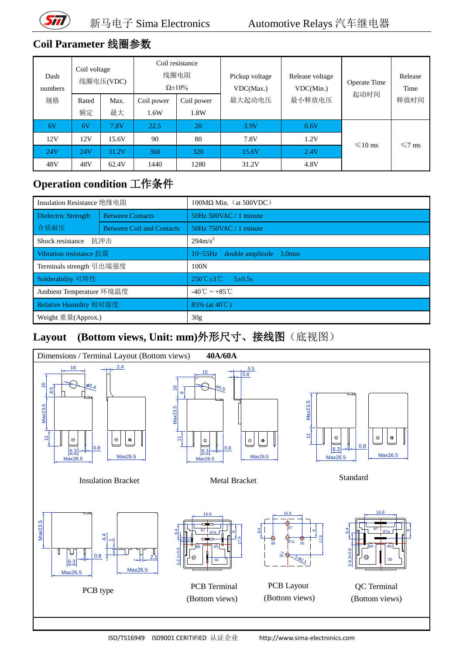

## **Coil Parameter** 线圈参数

| Dash<br>numbers | Coil voltage<br>线圈电压(VDC) |            | Coil resistance<br>线圈电阻<br>$\Omega \pm 10\%$ |                    | Pickup voltage<br>VDC(Max.) | Release voltage<br>VDC(Min.) | Operate Time | Release<br>Time |
|-----------------|---------------------------|------------|----------------------------------------------|--------------------|-----------------------------|------------------------------|--------------|-----------------|
| 规格              | Rated<br>额定               | Max.<br>最大 | Coil power<br>1.6W                           | Coil power<br>1.8W | 最大起动电压                      | 最小释放电压                       | 起动时间         | 释放时间            |
| 6V              | 6V                        | 7.8V       | 22.5                                         | 20                 | 3.9V                        | 0.6V                         |              |                 |
| 12V             | 12V                       | 15.6V      | 90                                           | 80                 | 7.8V                        | 1.2V                         | $\leq 10$ ms | $\leq 7$ ms     |
| 24V             | 24V                       | 31.2V      | 360                                          | 320                | 15.6V                       | 2.4V                         |              |                 |
| 48V             | 48V                       | 62.4V      | 1440                                         | 1280               | 31.2V                       | 4.8V                         |              |                 |

#### **Operation condition** 工作条件

| Insulation Resistance 绝缘电阻                     |                                  | $100\text{M}\Omega$ Min. (at 500VDC)               |  |  |
|------------------------------------------------|----------------------------------|----------------------------------------------------|--|--|
| <b>Between Contacts</b><br>Dielectric Strength |                                  | $50Hz$ 500VAC / 1 minute                           |  |  |
| 介质耐压                                           | <b>Between Coil and Contacts</b> | 50Hz 750VAC / 1 minute                             |  |  |
| Shock resistance                               | 抗冲击                              | $294 \text{m/s}^2$                                 |  |  |
| Vibration resistance 抗震                        |                                  | $10 \sim 55$ Hz double amplitude 3.0mm             |  |  |
| Terminals strength 引出端强度                       |                                  | 100N                                               |  |  |
| Solderability 可焊性                              |                                  | $250^{\circ}$ C $\pm 3^{\circ}$ C<br>$5 \pm 0.5$ s |  |  |
| Ambient Temperature 环境温度                       |                                  | $-40^{\circ}$ C ~ $+85^{\circ}$ C                  |  |  |
| Relative Humidity 相对湿度                         |                                  | 85% (at $40^{\circ}$ C)                            |  |  |
| Weight 重量(Approx.)                             |                                  | 30g                                                |  |  |

## **Layout (Bottom views, Unit: mm)**外形尺寸、接线图(底视图)



ISO/TS16949 IS09001 CERITIFIED 认证企业 http://www.sima-electronics.com